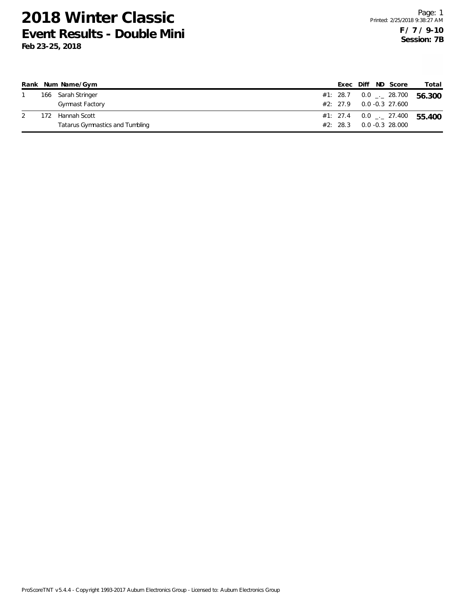|     | Rank Num Name/Gym               |          |  | Exec Diff ND Score         | Total                                      |
|-----|---------------------------------|----------|--|----------------------------|--------------------------------------------|
|     | 166 Sarah Stringer              |          |  |                            | 56.300                                     |
|     | Gymnast Factory                 |          |  | $#2: 27.9 0.0 -0.3 27.600$ |                                            |
| 172 | Hannah Scott                    |          |  |                            | #1: 27.4  0.0 $\frac{1}{2}$ 27.400  55.400 |
|     | Tatarus Gymnastics and Tumbling | #2: 28.3 |  | 0.0 -0.3 28.000            |                                            |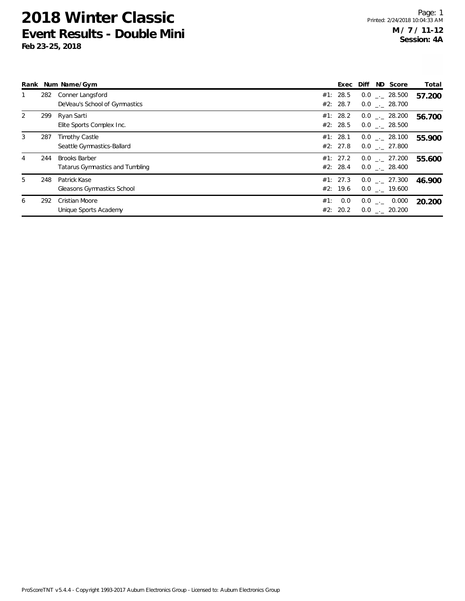|   |     | Rank Num Name/Gym                                       |     | Exec                 | ND Score<br>Diff                     | Total  |
|---|-----|---------------------------------------------------------|-----|----------------------|--------------------------------------|--------|
|   | 282 | Conner Langsford<br>DeVeau's School of Gymnastics       |     | #1: 28.5<br>#2: 28.7 | $0.0$ . 28.500<br>$0.0$ . 28.700     | 57.200 |
| 2 | 299 | Ryan Sarti<br>Elite Sports Complex Inc.                 |     | #1: 28.2<br>#2: 28.5 | $0.0$ _._ 28.200<br>$0.0$ . 28.500   | 56.700 |
| 3 | 287 | <b>Timothy Castle</b><br>Seattle Gymnastics-Ballard     |     | #1: 28.1<br>#2: 27.8 | $0.0$ _._ 28.100<br>$0.0$ . 27.800   | 55.900 |
| 4 | 244 | <b>Brooks Barber</b><br>Tatarus Gymnastics and Tumbling |     | #1: 27.2<br>#2: 28.4 | $0.0$ _._ 27.200<br>$0.0$ . 28.400   | 55.600 |
| 5 | 248 | Patrick Kase<br>Gleasons Gymnastics School              |     | #1: 27.3<br>#2: 19.6 | $0.0$ _._ 27.300<br>$0.0$ _._ 19.600 | 46.900 |
| 6 | 292 | Cristian Moore<br>Unique Sports Academy                 | #1: | 0.0<br>#2: 20.2      | $0.0$ _._ 0.000<br>$0.0$ __ 20.200   | 20.200 |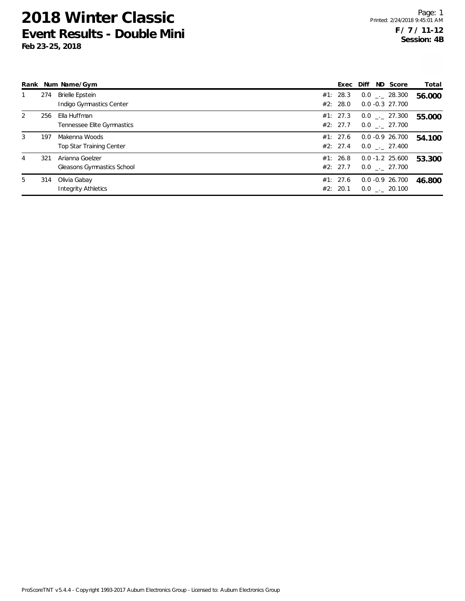|   |     | Rank Num Name/Gym                             | Exec Diff            |  | ND Score                               | Total  |
|---|-----|-----------------------------------------------|----------------------|--|----------------------------------------|--------|
|   | 274 | Brielle Epstein<br>Indigo Gymnastics Center   | #1: 28.3<br>#2: 28.0 |  | $0.0$ _._ 28.300<br>$0.0 - 0.3$ 27.700 | 56.000 |
| 2 | 256 | Ella Huffman<br>Tennessee Elite Gymnastics    | #1: 27.3<br>#2: 27.7 |  | $0.0$ _._ 27.300<br>$0.0$ _. 27.700    | 55.000 |
| 3 | 197 | Makenna Woods<br>Top Star Training Center     | #1: 27.6<br>#2: 27.4 |  | $0.0 - 0.9 26.700$<br>$0.0$ . 27.400   | 54.100 |
| 4 | 321 | Arianna Goelzer<br>Gleasons Gymnastics School | #1: 26.8<br>#2: 27.7 |  | $0.0 - 1.2$ 25.600<br>$0.0$ . 27.700   | 53.300 |
| 5 | 314 | Olivia Gabay<br><b>Integrity Athletics</b>    | #1: 27.6<br>#2: 20.1 |  | $0.0 - 0.9 26.700$<br>$0.0$ . 20.100   | 46.800 |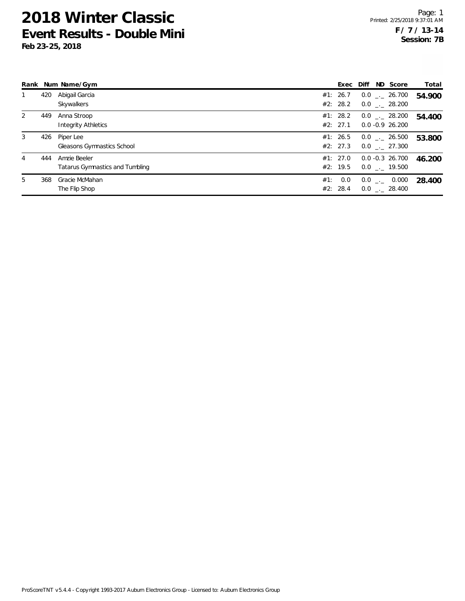|   |     | Rank Num Name/Gym               | Exec Diff |  | ND Score           | Total  |
|---|-----|---------------------------------|-----------|--|--------------------|--------|
|   | 420 | Abigail Garcia                  | #1: 26.7  |  | $0.0$ _._ 26.700   | 54.900 |
|   |     | Skywalkers                      | #2: 28.2  |  | $0.0$ _. 28.200    |        |
| 2 | 449 | Anna Stroop                     | #1: 28.2  |  | $0.0$ _._ 28.200   | 54.400 |
|   |     | <b>Integrity Athletics</b>      | #2: 27.1  |  | $0.0 - 0.9$ 26.200 |        |
| 3 | 426 | Piper Lee                       | #1: 26.5  |  | $0.0$ _._ 26.500   | 53.800 |
|   |     | Gleasons Gymnastics School      | #2: 27.3  |  | $0.0$ . 27.300     |        |
| 4 | 444 | Amzie Beeler                    | #1: 27.0  |  | $0.0 - 0.3$ 26.700 | 46.200 |
|   |     | Tatarus Gymnastics and Tumbling | #2: 19.5  |  | $0.0$ _._ 19.500   |        |
| 5 | 368 | Gracie McMahan                  | #1: 0.0   |  | $0.0$ _._ 0.000    | 28.400 |
|   |     | The Flip Shop                   | #2: 28.4  |  | $0.0$ . 28.400     |        |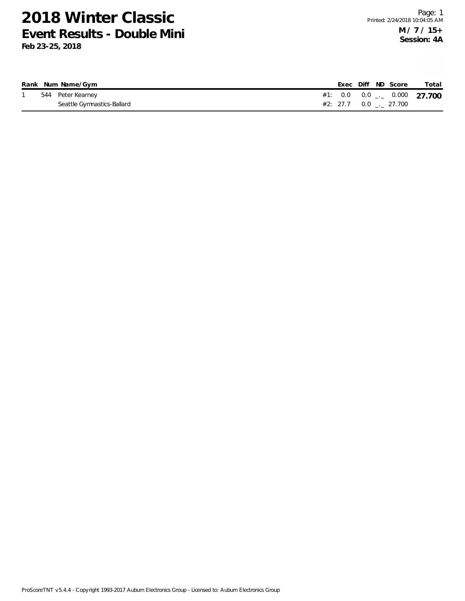|  | Rank Num Name/Gym          |  |  | Exec Diff ND Score        | Total                            |
|--|----------------------------|--|--|---------------------------|----------------------------------|
|  | 544 Peter Kearney          |  |  |                           | #1: 0.0 0.0 $_{--}$ 0.000 27.700 |
|  | Seattle Gymnastics-Ballard |  |  | #2: 27.7  0.0  _._ 27.700 |                                  |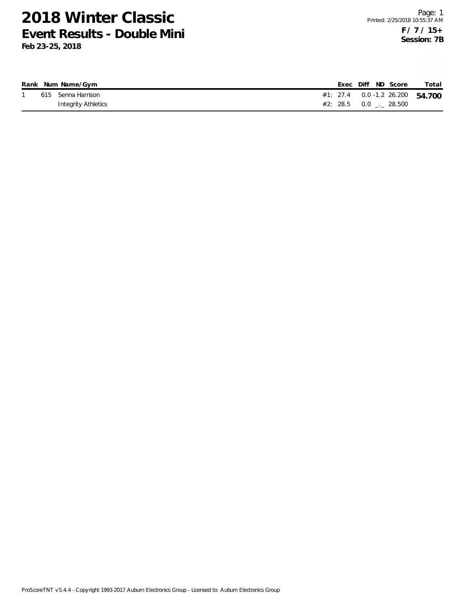|  | Rank Num Name/Gym   | Exec Diff ND Score                 | Total |
|--|---------------------|------------------------------------|-------|
|  | 615 Senna Harrison  | #1: 27.4  0.0 -1.2  26.200  54.700 |       |
|  | Integrity Athletics |                                    |       |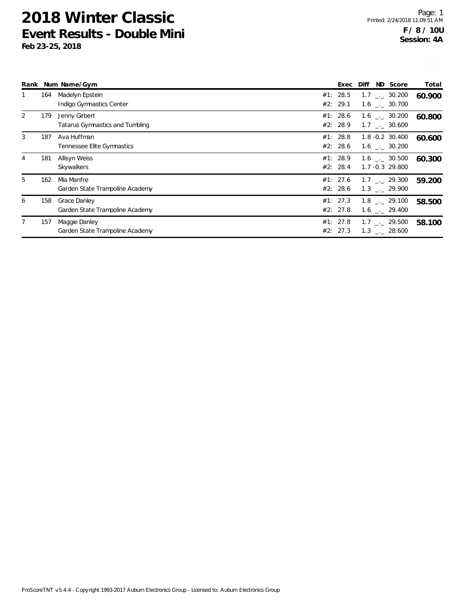|   |     | Rank Num Name/Gym                                | Exec                 | Diff | ND Score                                                     | Total  |
|---|-----|--------------------------------------------------|----------------------|------|--------------------------------------------------------------|--------|
|   | 164 | Madelyn Epstein<br>Indigo Gymnastics Center      | #1: 28.5<br>#2: 29.1 |      | $1.7$ $_{\sim}$ 30.200<br>$1.6$ $_{\sim}$ 30.700             | 60.900 |
| 2 | 179 | Jenny Girbert<br>Tatarus Gymnastics and Tumbling | #1: 28.6<br>#2: 28.9 |      | $1.6$ $_{\sim}$ 30.200<br>1.7 . 30.600                       | 60.800 |
| 3 | 187 | Ava Huffman<br>Tennessee Elite Gymnastics        | #1: 28.8<br>#2: 28.6 |      | $1.8 - 0.2$ 30.400<br>$1.6$ $_{-}$ 30.200                    | 60.600 |
| 4 | 181 | Allisyn Weiss<br>Skywalkers                      | #1: 28.9<br>#2: 28.4 |      | $1.6$ $_{-}$ 30.500<br>$1.7 - 0.3$ 29.800                    | 60.300 |
| 5 | 162 | Mia Manfre<br>Garden State Trampoline Academy    | #1: 27.6<br>#2: 28.6 |      | $1.7$ $_{\sim}$ 29.300<br>$1.3$ $_{-1}$ 29.900               | 59.200 |
| 6 | 158 | Grace Danley<br>Garden State Trampoline Academy  | #1: 27.3<br>#2: 27.8 |      | $1.8$ $_{--}$ 29.100<br>$1.6$ $_{-}$ 29.400                  | 58.500 |
|   | 157 | Maggie Danley<br>Garden State Trampoline Academy | #1: 27.8<br>#2: 27.3 |      | $1.7$ $_{\leftarrow}$ 29.500<br>$1.3$ $_{\leftarrow}$ 28.600 | 58.100 |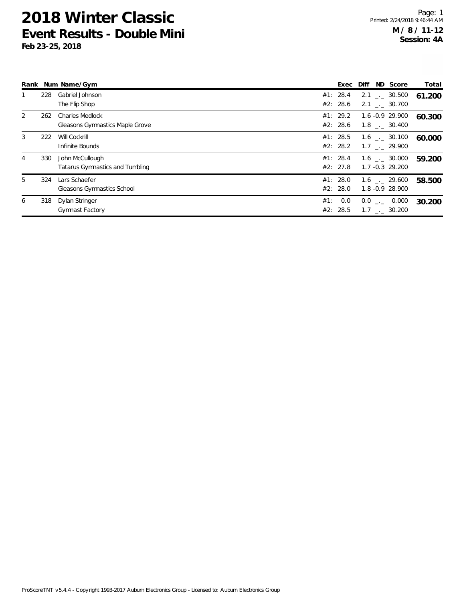|   |     | Rank Num Name/Gym                                         |                        | Exec Diff ND Score                            | Total  |
|---|-----|-----------------------------------------------------------|------------------------|-----------------------------------------------|--------|
|   | 228 | Gabriel Johnson<br>The Flip Shop                          | #1: 28.4<br>#2: 28.6   | $2.1$ $_{-}$ 30.500<br>$2.1$ $_{\sim}$ 30.700 | 61.200 |
| 2 | 262 | <b>Charles Medlock</b><br>Gleasons Gymnastics Maple Grove | #1: 29.2<br>#2: 28.6   | 1.6 -0.9 29.900<br>$1.8$ $_{\sim}$ 30.400     | 60.300 |
| 3 | 222 | Will Cockrill<br>Infinite Bounds                          | #1: 28.5<br>#2: 28.2   | $1.6$ _._ 30.100<br>$1.7$ $_{\sim}$ 29.900    | 60.000 |
| 4 | 330 | John McCullough<br>Tatarus Gymnastics and Tumbling        | #1: 28.4<br>#2: 27.8   | $1.6$ _._ 30.000<br>$1.7 - 0.3$ 29.200        | 59.200 |
| 5 | 324 | Lars Schaefer<br>Gleasons Gymnastics School               | #1: 28.0<br>#2: 28.0   | $1.6$ $_{\sim}$ 29.600<br>1.8 -0.9 28.900     | 58.500 |
| 6 | 318 | Dylan Stringer<br><b>Gymnast Factory</b>                  | 0.0<br>#1:<br>#2: 28.5 | $0.0$ _ 0.000<br>1.7 . 30.200                 | 30.200 |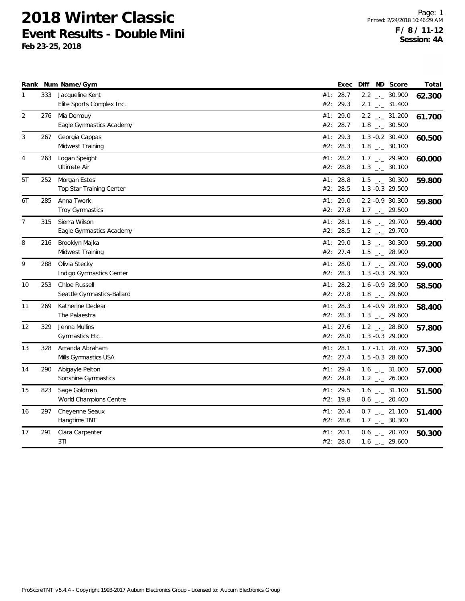|                |     | Rank Num Name/Gym                               |            | Exec                 |  | Diff ND Score                                        | Total  |
|----------------|-----|-------------------------------------------------|------------|----------------------|--|------------------------------------------------------|--------|
| 1              | 333 | Jacqueline Kent<br>Elite Sports Complex Inc.    | #2:        | #1: 28.7<br>29.3     |  | $2.2$ $_{-}$ 30.900<br>$2.1$ $_{-1}$ 31.400          | 62.300 |
| 2              | 276 | Mia Demouy<br>Eagle Gymnastics Academy          | #1:<br>#2: | 29.0<br>28.7         |  | $2.2$ $_{\leftarrow}$ 31.200<br>$1.8$ $_{-}$ 30.500  | 61.700 |
| 3              | 267 | Georgia Cappas<br>Midwest Training              |            | #1: 29.3<br>#2: 28.3 |  | $1.3 - 0.2$ 30.400<br>$1.8$ $_{\leftarrow}$ 30.100   | 60.500 |
| $\overline{4}$ | 263 | Logan Speight<br>Ultimate Air                   | #1:        | 28.2<br>#2: 28.8     |  | $1.7$ $_{-1}$ 29.900<br>$1.3$ $_{\leftarrow}$ 30.100 | 60.000 |
| 5T             | 252 | Morgan Estes<br><b>Top Star Training Center</b> |            | #1: 28.8<br>#2: 28.5 |  | $1.5$ $_{\leftarrow}$ 30.300<br>1.3 -0.3 29.500      | 59.800 |
| 6T             | 285 | Anna Twork<br>Troy Gymnastics                   |            | #1: 29.0<br>#2: 27.8 |  | 2.2 -0.9 30.300<br>$1.7$ $_{\leftarrow}$ 29.500      | 59.800 |
| $\overline{7}$ | 315 | Sierra Wilson<br>Eagle Gymnastics Academy       | #1:<br>#2: | 28.1<br>28.5         |  | $1.6$ - 29.700<br>$1.2$ $_{\leftarrow}$ 29.700       | 59.400 |
| 8              | 216 | Brooklyn Majka<br>Midwest Training              |            | #1: 29.0<br>#2: 27.4 |  | $1.3$ $_{\leftarrow}$ 30.300<br>$1.5$ $_{-1}$ 28.900 | 59.200 |
| 9              | 288 | Olivia Stecky<br>Indigo Gymnastics Center       | #1:<br>#2: | 28.0<br>28.3         |  | $1.7$ $_{\leftarrow}$ 29.700<br>1.3 -0.3 29.300      | 59.000 |
| 10             | 253 | Chloe Russell<br>Seattle Gymnastics-Ballard     | #1:        | 28.2<br>#2: 27.8     |  | 1.6 -0.9 28.900<br>$1.8$ $_{-1}$ 29.600              | 58.500 |
| 11             | 269 | Katherine Dedear<br>The Palaestra               | #2:        | #1: 28.3<br>28.3     |  | 1.4 -0.9 28.800<br>$1.3$ $_{\leftarrow}$ 29.600      | 58.400 |
| 12             | 329 | Jenna Mullins<br>Gymnastics Etc.                |            | #1: 27.6<br>#2: 28.0 |  | $1.2$ $_{\leftarrow}$ 28.800<br>1.3 -0.3 29.000      | 57.800 |
| 13             | 328 | Amanda Abraham<br>Mills Gymnastics USA          |            | #1: 28.1<br>#2: 27.4 |  | 1.7 -1.1 28.700<br>1.5 -0.3 28.600                   | 57.300 |
| 14             | 290 | Abigayle Pelton<br>Sonshine Gymnastics          | #1:        | 29.4<br>#2: 24.8     |  | $1.6$ __ 31.000<br>$1.2$ _ 26.000                    | 57.000 |
| 15             | 823 | Sage Goldman<br>World Champions Centre          |            | #1: 29.5<br>#2: 19.8 |  | $1.6$ _ $-31.100$<br>$0.6$ $_{\leftarrow}$ 20.400    | 51.500 |
| 16             | 297 | Cheyenne Seaux<br>Hangtime TNT                  | #1:        | 20.4<br>#2: 28.6     |  | $0.7$ $_{-}$ 21.100<br>$1.7$ $_{\leftarrow}$ 30.300  | 51.400 |
| 17             | 291 | Clara Carpenter<br>3T1                          | #1:        | 20.1<br>#2: 28.0     |  | $0.6$ - 20.700<br>$1.6$ $_{-}$ 29.600                | 50.300 |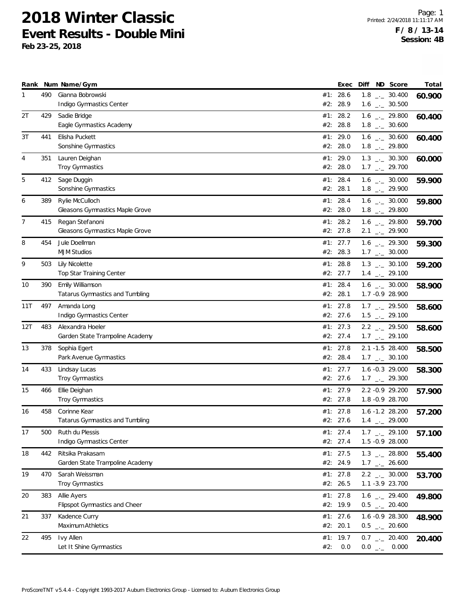|     |     | Rank Num Name/Gym                                   |     | Exec                   | Diff | ND Score                                                     | Total  |
|-----|-----|-----------------------------------------------------|-----|------------------------|------|--------------------------------------------------------------|--------|
| 1   | 490 | Gianna Bobrowski<br>Indigo Gymnastics Center        | #2: | #1: 28.6<br>28.9       |      | $1.8$ $_{-}$ 30.400<br>$1.6$ $_{\leftarrow}$ 30.500          | 60.900 |
| 2T  | 429 | Sadie Bridge<br>Eagle Gymnastics Academy            |     | #1: 28.2<br>#2: 28.8   |      | $1.6$ $_{\leftarrow}$ 29.800<br>$1.8$ __ 30.600              | 60.400 |
| 3T  | 441 | Elisha Puckett<br>Sonshine Gymnastics               |     | #1: 29.0<br>#2: 28.0   |      | $1.6$ $_{\leftarrow}$ 30.600<br>$1.8$ $_{-}$ 29.800          | 60.400 |
| 4   | 351 | Lauren Deighan<br>Troy Gymnastics                   |     | #1: 29.0<br>#2: 28.0   |      | $1.3$ $_{\leftarrow}$ 30.300<br>$1.7$ _. 29.700              | 60.000 |
| 5   | 412 | Sage Duggin<br>Sonshine Gymnastics                  |     | #1: 28.4<br>#2: 28.1   |      | $1.6$ $_{\leftarrow}$ 30.000<br>$1.8$ $_{\leftarrow}$ 29.900 | 59.900 |
| 6   | 389 | Rylie McCulloch<br>Gleasons Gymnastics Maple Grove  |     | #1: 28.4<br>#2: 28.0   |      | $1.6$ $_{\leftarrow}$ 30.000<br>$1.8$ $_{\leftarrow}$ 29.800 | 59.800 |
| 7   | 415 | Regan Stefanoni<br>Gleasons Gymnastics Maple Grove  |     | #1: 28.2<br>#2: 27.8   |      | $1.6$ $_{-}$ 29.800<br>$2.1$ $_{\leftarrow}$ 29.900          | 59.700 |
| 8   | 454 | Jule Doellman<br><b>MJM Studios</b>                 |     | #1: 27.7<br>#2: 28.3   |      | $1.6$ $_{-1}$ 29.300<br>$1.7$ $_{\leftarrow}$ 30.000         | 59.300 |
| 9   | 503 | Lily Nicolette<br>Top Star Training Center          |     | #1: 28.8<br>#2: 27.7   |      | $1.3$ $_{-1}$ 30.100<br>$1.4$ $_{-}$ 29.100                  | 59.200 |
| 10  | 390 | Emily Williamson<br>Tatarus Gymnastics and Tumbling |     | #1: 28.4<br>#2: 28.1   |      | $1.6$ $_{\leftarrow}$ 30.000<br>1.7 -0.9 28.900              | 58.900 |
| 11T | 497 | Amanda Long<br>Indigo Gymnastics Center             |     | #1: $27.8$<br>#2: 27.6 |      | $1.7$ $_{\leftarrow}$ 29.500<br>$1.5$ $_{\leftarrow}$ 29.100 | 58.600 |
| 12T | 483 | Alexandra Hoeler<br>Garden State Trampoline Academy | #1: | 27.3<br>#2: 27.4       |      | $2.2$ $-29.500$<br>$1.7$ $_{-}$ 29.100                       | 58.600 |
| 13  | 378 | Sophia Egert<br>Park Avenue Gymnastics              |     | #1: $27.8$<br>#2: 28.4 |      | 2.1 -1.5 28.400<br>$1.7$ $_{\leftarrow}$ 30.100              | 58.500 |
| 14  | 433 | Lindsay Lucas<br><b>Troy Gymnastics</b>             |     | #1: 27.7<br>#2: 27.6   |      | $1.6 - 0.3$ 29.000<br>$1.7$ $_{\leftarrow}$ 29.300           | 58.300 |
| 15  | 466 | Ellie Deighan<br>Troy Gymnastics                    |     | #1: 27.9<br>#2: 27.8   |      | 2.2 -0.9 29.200<br>1.8 - 0.9 28.700                          | 57.900 |
| 16  | 458 | Corinne Kear<br>Tatarus Gymnastics and Tumbling     |     | #1: 27.8<br>#2: 27.6   |      | $1.6 - 1.2$ 28.200<br>$1.4$ $_{\leftarrow}$ 29.000           | 57.200 |
| 17  | 500 | Ruth du Plessis<br>Indigo Gymnastics Center         |     | #1: 27.4<br>#2: 27.4   |      | $1.7$ $_{\leftarrow}$ 29.100<br>1.5 -0.9 28.000              | 57.100 |
| 18  | 442 | Ritsika Prakasam<br>Garden State Trampoline Academy |     | #1: 27.5<br>#2: 24.9   |      | $1.3$ $_{\leftarrow}$ 28.800<br>$1.7$ $_{\leftarrow}$ 26.600 | 55.400 |
| 19  | 470 | Sarah Weissman<br>Troy Gymnastics                   |     | #1: $27.8$<br>#2: 26.5 |      | $2.2$ _ $-2$ 30.000<br>1.1 -3.9 23.700                       | 53.700 |
| 20  | 383 | Allie Ayers<br>Flipspot Gymnastics and Cheer        |     | #1: $27.8$<br>#2: 19.9 |      | $1.6$ - 29.400<br>$0.5$ _ 20.400                             | 49.800 |
| 21  | 337 | Kadence Curry<br>Maximum Athletics                  |     | #1: $27.6$<br>#2: 20.1 |      | 1.6 -0.9 28.300<br>$0.5$ $_{\leftarrow}$ 20.600              | 48.900 |
| 22  | 495 | Ivy Allen<br>Let It Shine Gymnastics                | #2: | #1: $19.7$<br>0.0      |      | $0.7$ _ 20.400<br>$0.0$ _ 0.000                              | 20.400 |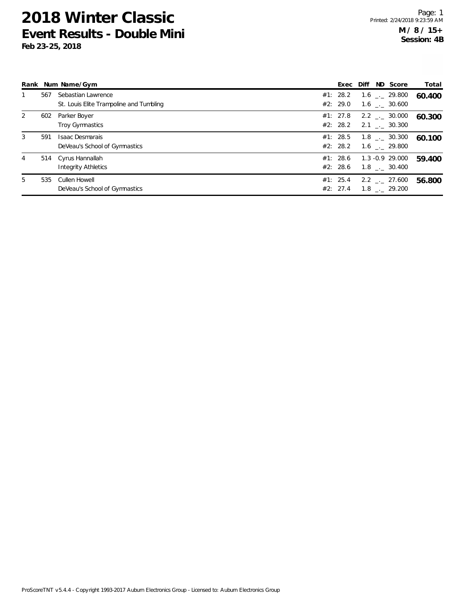|    |     | Rank Num Name/Gym                       |          |  | Exec Diff ND Score     | Total  |
|----|-----|-----------------------------------------|----------|--|------------------------|--------|
|    | 567 | Sebastian Lawrence                      | #1: 28.2 |  | $1.6$ _ $-$ 29.800     | 60.400 |
|    |     | St. Louis Elite Trampoline and Tumbling | #2: 29.0 |  | 1.6 . 30.600           |        |
| 2  | 602 | Parker Boyer                            | #1: 27.8 |  | $2.2$ $_{\sim}$ 30.000 | 60.300 |
|    |     | Troy Gymnastics                         | #2: 28.2 |  | $2.1$ $_{-1}$ 30.300   |        |
| 3  | 591 | Isaac Desmarais                         | #1: 28.5 |  | $1.8$ $_{\sim}$ 30.300 | 60.100 |
|    |     | DeVeau's School of Gymnastics           | #2: 28.2 |  | 1.6 . 29.800           |        |
| 4  |     | 514 Cyrus Hannallah                     | #1: 28.6 |  | 1.3 -0.9 29.000        | 59.400 |
|    |     | Integrity Athletics                     | #2: 28.6 |  | 1.8 . 30.400           |        |
| 5. | 535 | Cullen Howell                           | #1: 25.4 |  | $2.2$ $_{--}$ 27.600   | 56.800 |
|    |     | DeVeau's School of Gymnastics           | #2: 27.4 |  | 1.8 . 29.200           |        |